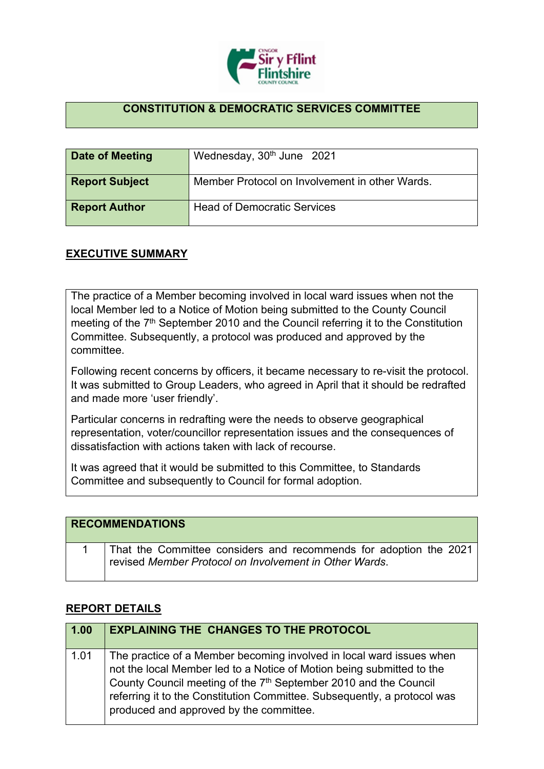

## **CONSTITUTION & DEMOCRATIC SERVICES COMMITTEE**

| Date of Meeting       | Wednesday, 30 <sup>th</sup> June 2021          |
|-----------------------|------------------------------------------------|
| <b>Report Subject</b> | Member Protocol on Involvement in other Wards. |
| <b>Report Author</b>  | <b>Head of Democratic Services</b>             |

## **EXECUTIVE SUMMARY**

The practice of a Member becoming involved in local ward issues when not the local Member led to a Notice of Motion being submitted to the County Council meeting of the 7<sup>th</sup> September 2010 and the Council referring it to the Constitution Committee. Subsequently, a protocol was produced and approved by the committee.

Following recent concerns by officers, it became necessary to re-visit the protocol. It was submitted to Group Leaders, who agreed in April that it should be redrafted and made more 'user friendly'.

Particular concerns in redrafting were the needs to observe geographical representation, voter/councillor representation issues and the consequences of dissatisfaction with actions taken with lack of recourse.

It was agreed that it would be submitted to this Committee, to Standards Committee and subsequently to Council for formal adoption.

| <b>RECOMMENDATIONS</b>                                                                                                      |
|-----------------------------------------------------------------------------------------------------------------------------|
| That the Committee considers and recommends for adoption the 2021<br>revised Member Protocol on Involvement in Other Wards. |

## **REPORT DETAILS**

| 1.00 | <b>EXPLAINING THE CHANGES TO THE PROTOCOL</b>                                                                                                                                                                                                                                                                                                        |
|------|------------------------------------------------------------------------------------------------------------------------------------------------------------------------------------------------------------------------------------------------------------------------------------------------------------------------------------------------------|
| 1.01 | The practice of a Member becoming involved in local ward issues when<br>not the local Member led to a Notice of Motion being submitted to the<br>County Council meeting of the 7 <sup>th</sup> September 2010 and the Council<br>referring it to the Constitution Committee. Subsequently, a protocol was<br>produced and approved by the committee. |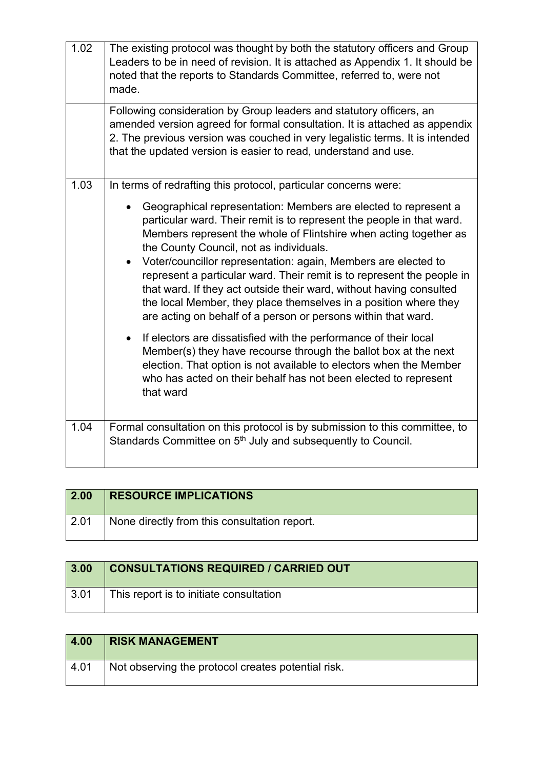| 1.02 | The existing protocol was thought by both the statutory officers and Group<br>Leaders to be in need of revision. It is attached as Appendix 1. It should be<br>noted that the reports to Standards Committee, referred to, were not<br>made.                                                                                                                                                                                                                                                                                                                                                                     |
|------|------------------------------------------------------------------------------------------------------------------------------------------------------------------------------------------------------------------------------------------------------------------------------------------------------------------------------------------------------------------------------------------------------------------------------------------------------------------------------------------------------------------------------------------------------------------------------------------------------------------|
|      | Following consideration by Group leaders and statutory officers, an<br>amended version agreed for formal consultation. It is attached as appendix<br>2. The previous version was couched in very legalistic terms. It is intended<br>that the updated version is easier to read, understand and use.                                                                                                                                                                                                                                                                                                             |
| 1.03 | In terms of redrafting this protocol, particular concerns were:                                                                                                                                                                                                                                                                                                                                                                                                                                                                                                                                                  |
|      | Geographical representation: Members are elected to represent a<br>particular ward. Their remit is to represent the people in that ward.<br>Members represent the whole of Flintshire when acting together as<br>the County Council, not as individuals.<br>Voter/councillor representation: again, Members are elected to<br>represent a particular ward. Their remit is to represent the people in<br>that ward. If they act outside their ward, without having consulted<br>the local Member, they place themselves in a position where they<br>are acting on behalf of a person or persons within that ward. |
|      | If electors are dissatisfied with the performance of their local<br>Member(s) they have recourse through the ballot box at the next<br>election. That option is not available to electors when the Member<br>who has acted on their behalf has not been elected to represent<br>that ward                                                                                                                                                                                                                                                                                                                        |
| 1.04 | Formal consultation on this protocol is by submission to this committee, to<br>Standards Committee on 5 <sup>th</sup> July and subsequently to Council.                                                                                                                                                                                                                                                                                                                                                                                                                                                          |

| 2.00 | <b>RESOURCE IMPLICATIONS</b>                 |
|------|----------------------------------------------|
| 2.01 | None directly from this consultation report. |

| 3.00         | <b>CONSULTATIONS REQUIRED / CARRIED OUT</b> |
|--------------|---------------------------------------------|
| $\vert 3.01$ | This report is to initiate consultation     |

| 4.00            | <b>RISK MANAGEMENT</b>                             |
|-----------------|----------------------------------------------------|
| $^{\circ}$ 4.01 | Not observing the protocol creates potential risk. |